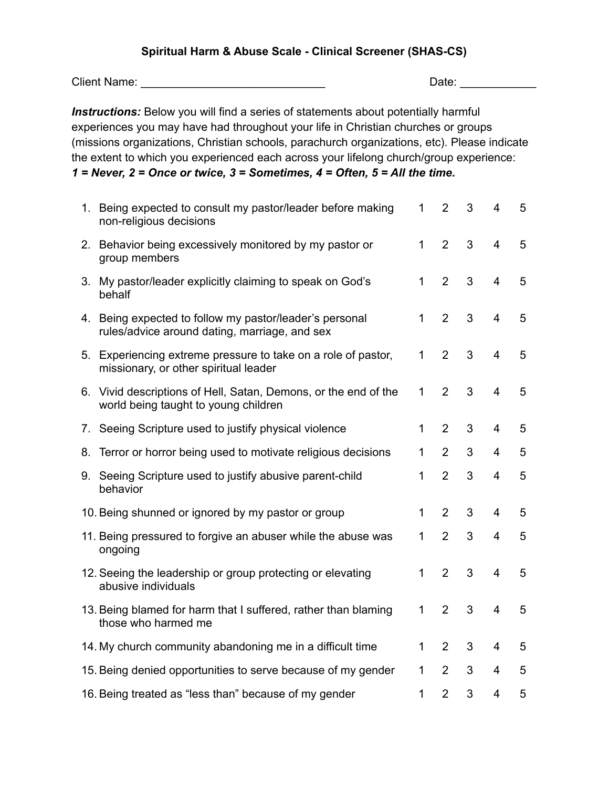## **Spiritual Harm & Abuse Scale - Clinical Screener (SHAS-CS)**

Client Name: \_\_\_\_\_\_\_\_\_\_\_\_\_\_\_\_\_\_\_\_\_\_\_\_\_\_\_\_\_ Date: \_\_\_\_\_\_\_\_\_\_\_\_

*Instructions:* Below you will find a series of statements about potentially harmful experiences you may have had throughout your life in Christian churches or groups (missions organizations, Christian schools, parachurch organizations, etc). Please indicate the extent to which you experienced each across your lifelong church/group experience: *1 = Never, 2 = Once or twice, 3 = Sometimes, 4 = Often, 5 = All the time.*

|    | 1. Being expected to consult my pastor/leader before making<br>non-religious decisions                   | 1            | $\overline{2}$ | 3 | $\overline{4}$          | 5 |
|----|----------------------------------------------------------------------------------------------------------|--------------|----------------|---|-------------------------|---|
|    | 2. Behavior being excessively monitored by my pastor or<br>group members                                 | $\mathbf{1}$ | 2              | 3 | $\overline{4}$          | 5 |
|    | 3. My pastor/leader explicitly claiming to speak on God's<br>behalf                                      | 1            | $\overline{2}$ | 3 | $\overline{4}$          | 5 |
|    | 4. Being expected to follow my pastor/leader's personal<br>rules/advice around dating, marriage, and sex | 1            | $\overline{2}$ | 3 | $\overline{4}$          | 5 |
|    | 5. Experiencing extreme pressure to take on a role of pastor,<br>missionary, or other spiritual leader   | 1            | 2              | 3 | $\overline{\mathbf{4}}$ | 5 |
|    | 6. Vivid descriptions of Hell, Satan, Demons, or the end of the<br>world being taught to young children  | $\mathbf{1}$ | 2              | 3 | $\overline{4}$          | 5 |
|    | 7. Seeing Scripture used to justify physical violence                                                    | 1            | $\overline{2}$ | 3 | $\overline{4}$          | 5 |
| 8. | Terror or horror being used to motivate religious decisions                                              | 1            | 2              | 3 | $\overline{4}$          | 5 |
| 9. | Seeing Scripture used to justify abusive parent-child<br>behavior                                        | 1            | $\overline{2}$ | 3 | $\overline{4}$          | 5 |
|    | 10. Being shunned or ignored by my pastor or group                                                       | $\mathbf{1}$ | 2              | 3 | $\overline{4}$          | 5 |
|    | 11. Being pressured to forgive an abuser while the abuse was<br>ongoing                                  | 1            | $\overline{2}$ | 3 | $\overline{4}$          | 5 |
|    | 12. Seeing the leadership or group protecting or elevating<br>abusive individuals                        | 1            | $\overline{2}$ | 3 | $\overline{4}$          | 5 |
|    | 13. Being blamed for harm that I suffered, rather than blaming<br>those who harmed me                    | $\mathbf{1}$ | $\overline{2}$ | 3 | $\overline{4}$          | 5 |
|    | 14. My church community abandoning me in a difficult time                                                | $\mathbf{1}$ | $\overline{2}$ | 3 | $\overline{4}$          | 5 |
|    | 15. Being denied opportunities to serve because of my gender                                             | 1            | $\overline{2}$ | 3 | 4                       | 5 |
|    | 16. Being treated as "less than" because of my gender                                                    | 1            | $\overline{2}$ | 3 | $\overline{4}$          | 5 |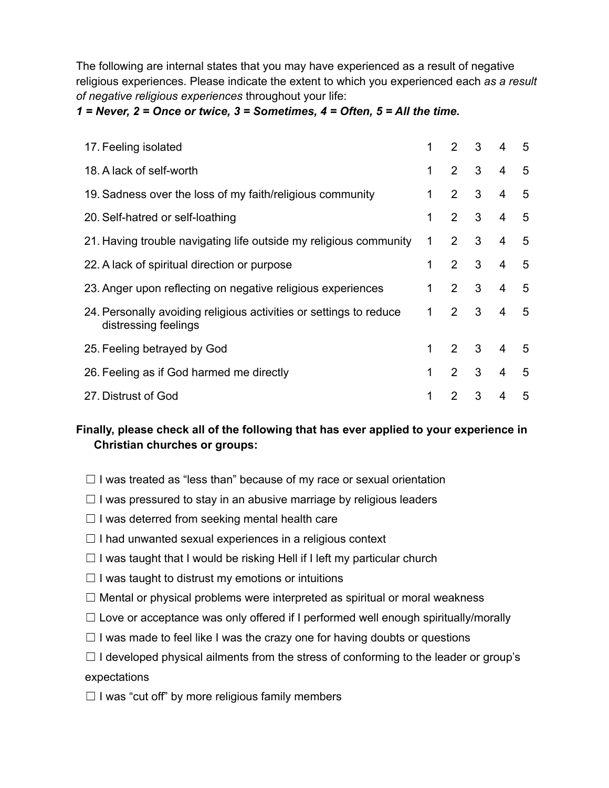The following are internal states that you may have experienced as a result of negative religious experiences. Please indicate the extent to which you experienced each *as a result of negative religious experiences* throughout your life:

### *1 = Never, 2 = Once or twice, 3 = Sometimes, 4 = Often, 5 = All the time.*

| 17. Feeling isolated                                                                       | 1 | $\mathcal{P}$         | $\mathbf{3}$ | 4 | 5 |
|--------------------------------------------------------------------------------------------|---|-----------------------|--------------|---|---|
| 18. A lack of self-worth                                                                   | 1 | $2^{\circ}$           | 3            | 4 | 5 |
| 19. Sadness over the loss of my faith/religious community                                  | 1 | $\overline{2}$        | 3            | 4 | 5 |
| 20. Self-hatred or self-loathing                                                           | 1 | $\mathcal{P}$         | 3            | 4 | 5 |
| 21. Having trouble navigating life outside my religious community                          | 1 | $\overline{2}$        | 3            | 4 | 5 |
| 22. A lack of spiritual direction or purpose                                               | 1 | $\overline{2}$        | 3            | 4 | 5 |
| 23. Anger upon reflecting on negative religious experiences                                | 1 | $\mathcal{P}$         | 3            | 4 | 5 |
| 24. Personally avoiding religious activities or settings to reduce<br>distressing feelings | 1 | $\mathbf{2}^{\prime}$ | 3            | 4 | 5 |
| 25. Feeling betrayed by God                                                                | 1 | $2^{\circ}$           | 3            | 4 | 5 |
| 26. Feeling as if God harmed me directly                                                   | 1 | $\overline{2}$        | 3            | 4 | 5 |
| 27. Distrust of God                                                                        |   | 2                     | 3            | 4 | 5 |

# **Finally, please check all of the following that has ever applied to your experience in Christian churches or groups:**

- $\Box$  I was treated as "less than" because of my race or sexual orientation
- $\Box$  I was pressured to stay in an abusive marriage by religious leaders
- $\Box$  I was deterred from seeking mental health care
- $\Box$  I had unwanted sexual experiences in a religious context
- $\Box$  I was taught that I would be risking Hell if I left my particular church
- $\Box$  I was taught to distrust my emotions or intuitions
- $\Box$  Mental or physical problems were interpreted as spiritual or moral weakness
- $\Box$  Love or acceptance was only offered if I performed well enough spiritually/morally
- $\Box$  I was made to feel like I was the crazy one for having doubts or questions
- $\Box$  I developed physical ailments from the stress of conforming to the leader or group's expectations
- $\Box$  I was "cut off" by more religious family members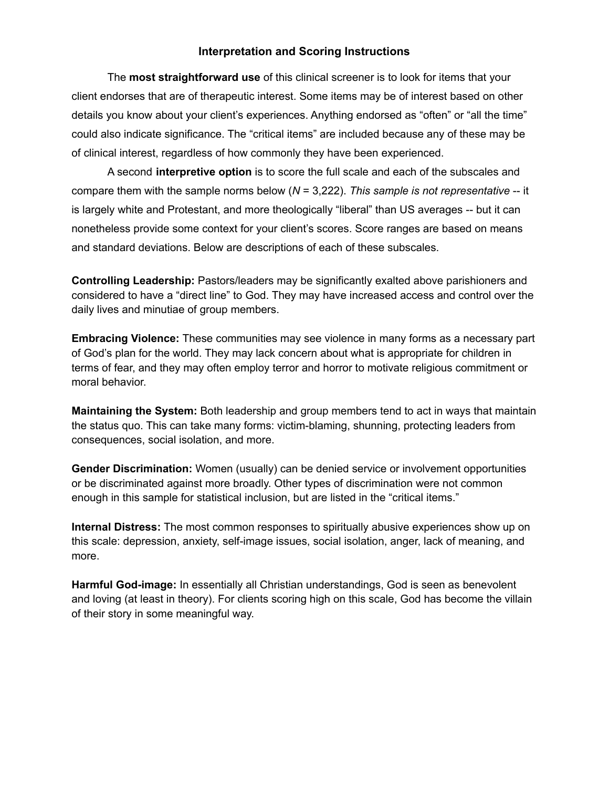#### **Interpretation and Scoring Instructions**

The **most straightforward use** of this clinical screener is to look for items that your client endorses that are of therapeutic interest. Some items may be of interest based on other details you know about your client's experiences. Anything endorsed as "often" or "all the time" could also indicate significance. The "critical items" are included because any of these may be of clinical interest, regardless of how commonly they have been experienced.

A second **interpretive option** is to score the full scale and each of the subscales and compare them with the sample norms below (*N* = 3,222). *This sample is not representative* -- it is largely white and Protestant, and more theologically "liberal" than US averages -- but it can nonetheless provide some context for your client's scores. Score ranges are based on means and standard deviations. Below are descriptions of each of these subscales.

**Controlling Leadership:** Pastors/leaders may be significantly exalted above parishioners and considered to have a "direct line" to God. They may have increased access and control over the daily lives and minutiae of group members.

**Embracing Violence:** These communities may see violence in many forms as a necessary part of God's plan for the world. They may lack concern about what is appropriate for children in terms of fear, and they may often employ terror and horror to motivate religious commitment or moral behavior.

**Maintaining the System:** Both leadership and group members tend to act in ways that maintain the status quo. This can take many forms: victim-blaming, shunning, protecting leaders from consequences, social isolation, and more.

**Gender Discrimination:** Women (usually) can be denied service or involvement opportunities or be discriminated against more broadly. Other types of discrimination were not common enough in this sample for statistical inclusion, but are listed in the "critical items."

**Internal Distress:** The most common responses to spiritually abusive experiences show up on this scale: depression, anxiety, self-image issues, social isolation, anger, lack of meaning, and more.

**Harmful God-image:** In essentially all Christian understandings, God is seen as benevolent and loving (at least in theory). For clients scoring high on this scale, God has become the villain of their story in some meaningful way.